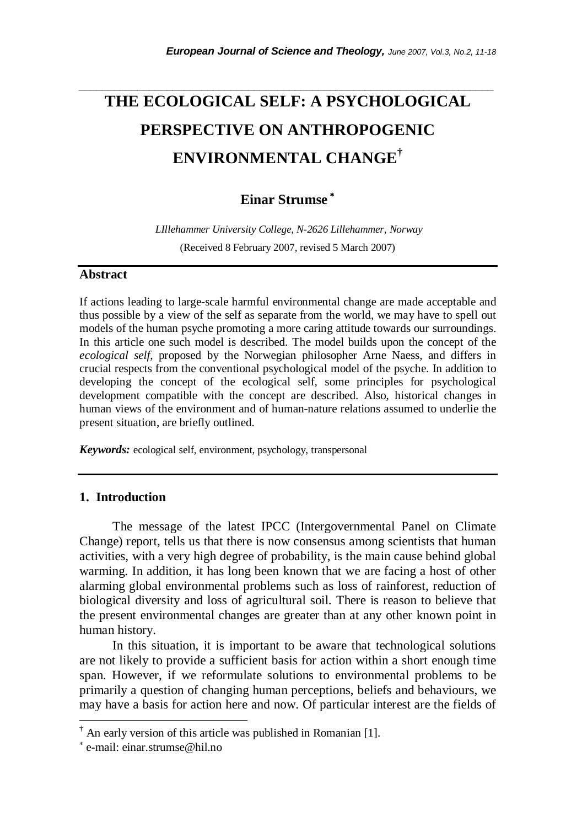# **THE ECOLOGICAL SELF: A PSYCHOLOGICAL PERSPECTIVE ON ANTHROPOGENIC ENVIRONMENTAL CHANGE†**

*\_\_\_\_\_\_\_\_\_\_\_\_\_\_\_\_\_\_\_\_\_\_\_\_\_\_\_\_\_\_\_\_\_\_\_\_\_\_\_\_\_\_\_\_\_\_\_\_\_\_\_\_\_\_\_\_\_\_\_\_\_\_\_\_\_\_\_\_\_\_\_* 

# **Einar Strumse** <sup>∗</sup>

 *LIllehammer University College, N-2626 Lillehammer, Norway*  (Received 8 February 2007, revised 5 March 2007)

#### **Abstract**

If actions leading to large-scale harmful environmental change are made acceptable and thus possible by a view of the self as separate from the world, we may have to spell out models of the human psyche promoting a more caring attitude towards our surroundings. In this article one such model is described. The model builds upon the concept of the *ecological self,* proposed by the Norwegian philosopher Arne Naess, and differs in crucial respects from the conventional psychological model of the psyche. In addition to developing the concept of the ecological self, some principles for psychological development compatible with the concept are described. Also, historical changes in human views of the environment and of human-nature relations assumed to underlie the present situation, are briefly outlined.

*Keywords:* ecological self, environment, psychology, transpersonal

## **1. Introduction**

The message of the latest IPCC (Intergovernmental Panel on Climate Change) report, tells us that there is now consensus among scientists that human activities, with a very high degree of probability, is the main cause behind global warming. In addition, it has long been known that we are facing a host of other alarming global environmental problems such as loss of rainforest, reduction of biological diversity and loss of agricultural soil. There is reason to believe that the present environmental changes are greater than at any other known point in human history.

 In this situation, it is important to be aware that technological solutions are not likely to provide a sufficient basis for action within a short enough time span. However, if we reformulate solutions to environmental problems to be primarily a question of changing human perceptions, beliefs and behaviours, we may have a basis for action here and now. Of particular interest are the fields of

-

<sup>†</sup> An early version of this article was published in Romanian [1].

<sup>∗</sup> e-mail: einar.strumse@hil.no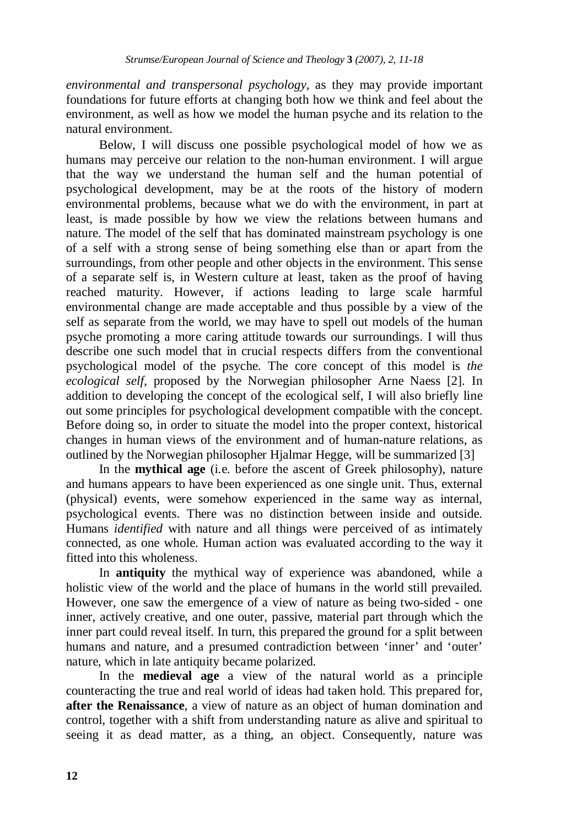*environmental and transpersonal psychology,* as they may provide important foundations for future efforts at changing both how we think and feel about the environment, as well as how we model the human psyche and its relation to the natural environment.

Below, I will discuss one possible psychological model of how we as humans may perceive our relation to the non-human environment. I will argue that the way we understand the human self and the human potential of psychological development, may be at the roots of the history of modern environmental problems, because what we do with the environment, in part at least, is made possible by how we view the relations between humans and nature. The model of the self that has dominated mainstream psychology is one of a self with a strong sense of being something else than or apart from the surroundings, from other people and other objects in the environment. This sense of a separate self is, in Western culture at least, taken as the proof of having reached maturity. However, if actions leading to large scale harmful environmental change are made acceptable and thus possible by a view of the self as separate from the world, we may have to spell out models of the human psyche promoting a more caring attitude towards our surroundings. I will thus describe one such model that in crucial respects differs from the conventional psychological model of the psyche. The core concept of this model is *the ecological self,* proposed by the Norwegian philosopher Arne Naess [2]. In addition to developing the concept of the ecological self, I will also briefly line out some principles for psychological development compatible with the concept. Before doing so, in order to situate the model into the proper context, historical changes in human views of the environment and of human-nature relations, as outlined by the Norwegian philosopher Hjalmar Hegge, will be summarized [3]

In the **mythical age** (i.e. before the ascent of Greek philosophy), nature and humans appears to have been experienced as one single unit. Thus, external (physical) events, were somehow experienced in the same way as internal, psychological events. There was no distinction between inside and outside. Humans *identified* with nature and all things were perceived of as intimately connected, as one whole. Human action was evaluated according to the way it fitted into this wholeness.

In **antiquity** the mythical way of experience was abandoned, while a holistic view of the world and the place of humans in the world still prevailed. However, one saw the emergence of a view of nature as being two-sided - one inner, actively creative, and one outer, passive, material part through which the inner part could reveal itself. In turn, this prepared the ground for a split between humans and nature, and a presumed contradiction between 'inner' and 'outer' nature, which in late antiquity became polarized.

In the **medieval age** a view of the natural world as a principle counteracting the true and real world of ideas had taken hold. This prepared for, **after the Renaissance**, a view of nature as an object of human domination and control, together with a shift from understanding nature as alive and spiritual to seeing it as dead matter, as a thing, an object. Consequently, nature was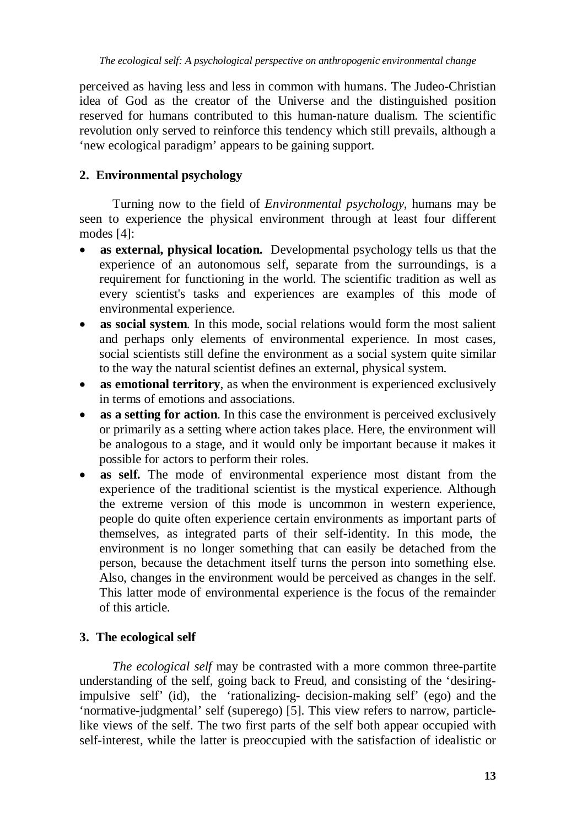perceived as having less and less in common with humans. The Judeo-Christian idea of God as the creator of the Universe and the distinguished position reserved for humans contributed to this human-nature dualism. The scientific revolution only served to reinforce this tendency which still prevails, although a 'new ecological paradigm' appears to be gaining support.

# **2. Environmental psychology**

Turning now to the field of *Environmental psychology*, humans may be seen to experience the physical environment through at least four different modes [4]:

- **as external, physical location.** Developmental psychology tells us that the experience of an autonomous self, separate from the surroundings, is a requirement for functioning in the world. The scientific tradition as well as every scientist's tasks and experiences are examples of this mode of environmental experience.
- **as social system**. In this mode, social relations would form the most salient and perhaps only elements of environmental experience. In most cases, social scientists still define the environment as a social system quite similar to the way the natural scientist defines an external, physical system.
- **as emotional territory**, as when the environment is experienced exclusively in terms of emotions and associations.
- as a setting for action. In this case the environment is perceived exclusively or primarily as a setting where action takes place. Here, the environment will be analogous to a stage, and it would only be important because it makes it possible for actors to perform their roles.
- **as self.** The mode of environmental experience most distant from the experience of the traditional scientist is the mystical experience. Although the extreme version of this mode is uncommon in western experience, people do quite often experience certain environments as important parts of themselves, as integrated parts of their self-identity. In this mode, the environment is no longer something that can easily be detached from the person, because the detachment itself turns the person into something else. Also, changes in the environment would be perceived as changes in the self. This latter mode of environmental experience is the focus of the remainder of this article.

## **3. The ecological self**

*The ecological self* may be contrasted with a more common three-partite understanding of the self, going back to Freud, and consisting of the 'desiringimpulsive self' (id), the 'rationalizing- decision-making self' (ego) and the 'normative-judgmental' self (superego) [5]. This view refers to narrow, particlelike views of the self. The two first parts of the self both appear occupied with self-interest, while the latter is preoccupied with the satisfaction of idealistic or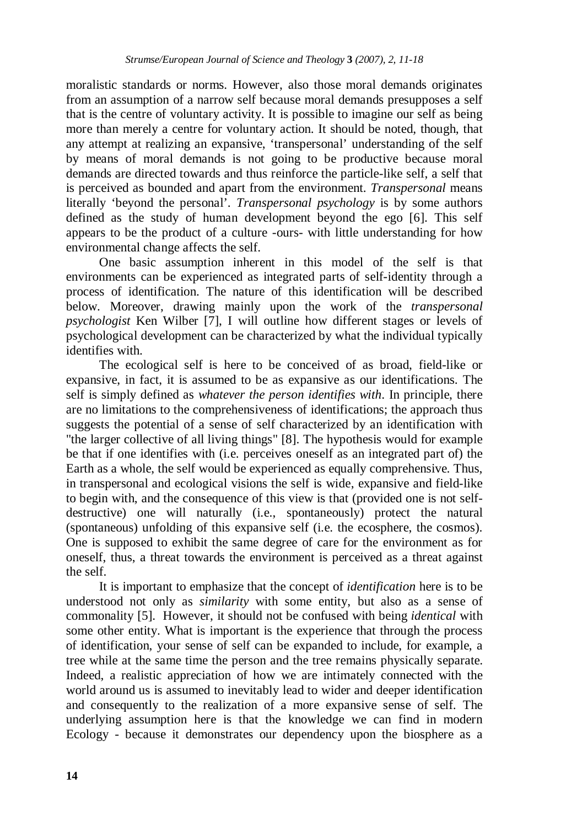moralistic standards or norms. However, also those moral demands originates from an assumption of a narrow self because moral demands presupposes a self that is the centre of voluntary activity. It is possible to imagine our self as being more than merely a centre for voluntary action. It should be noted, though, that any attempt at realizing an expansive, 'transpersonal' understanding of the self by means of moral demands is not going to be productive because moral demands are directed towards and thus reinforce the particle-like self, a self that is perceived as bounded and apart from the environment. *Transpersonal* means literally 'beyond the personal'. *Transpersonal psychology* is by some authors defined as the study of human development beyond the ego [6]. This self appears to be the product of a culture -ours- with little understanding for how environmental change affects the self.

One basic assumption inherent in this model of the self is that environments can be experienced as integrated parts of self-identity through a process of identification. The nature of this identification will be described below. Moreover, drawing mainly upon the work of the *transpersonal psychologist* Ken Wilber [7], I will outline how different stages or levels of psychological development can be characterized by what the individual typically identifies with.

The ecological self is here to be conceived of as broad, field-like or expansive, in fact, it is assumed to be as expansive as our identifications. The self is simply defined as *whatever the person identifies with*. In principle, there are no limitations to the comprehensiveness of identifications; the approach thus suggests the potential of a sense of self characterized by an identification with "the larger collective of all living things" [8]. The hypothesis would for example be that if one identifies with (i.e. perceives oneself as an integrated part of) the Earth as a whole, the self would be experienced as equally comprehensive. Thus, in transpersonal and ecological visions the self is wide, expansive and field-like to begin with, and the consequence of this view is that (provided one is not selfdestructive) one will naturally (i.e., spontaneously) protect the natural (spontaneous) unfolding of this expansive self (i.e. the ecosphere, the cosmos). One is supposed to exhibit the same degree of care for the environment as for oneself, thus, a threat towards the environment is perceived as a threat against the self.

It is important to emphasize that the concept of *identification* here is to be understood not only as *similarity* with some entity, but also as a sense of commonality [5]. However, it should not be confused with being *identical* with some other entity. What is important is the experience that through the process of identification, your sense of self can be expanded to include, for example, a tree while at the same time the person and the tree remains physically separate. Indeed, a realistic appreciation of how we are intimately connected with the world around us is assumed to inevitably lead to wider and deeper identification and consequently to the realization of a more expansive sense of self. The underlying assumption here is that the knowledge we can find in modern Ecology - because it demonstrates our dependency upon the biosphere as a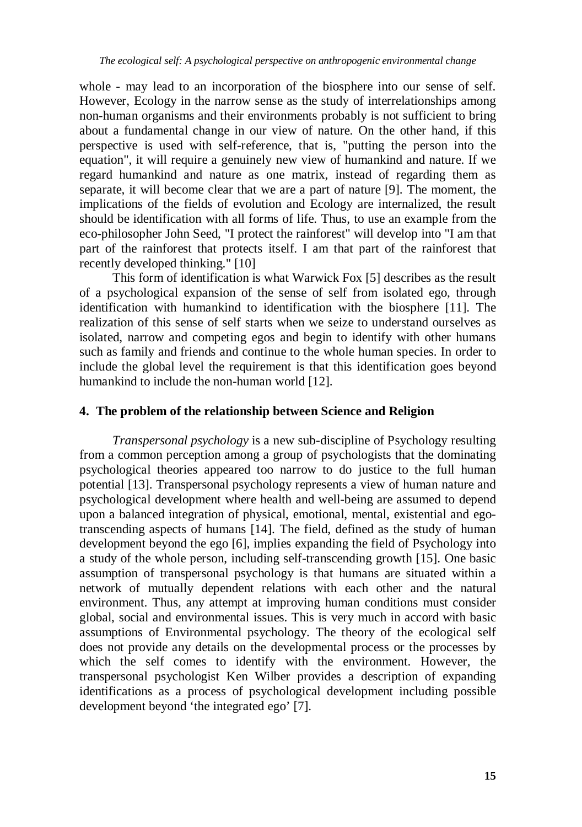whole - may lead to an incorporation of the biosphere into our sense of self. However, Ecology in the narrow sense as the study of interrelationships among non-human organisms and their environments probably is not sufficient to bring about a fundamental change in our view of nature. On the other hand, if this perspective is used with self-reference, that is, "putting the person into the equation", it will require a genuinely new view of humankind and nature. If we regard humankind and nature as one matrix, instead of regarding them as separate, it will become clear that we are a part of nature [9]. The moment, the implications of the fields of evolution and Ecology are internalized, the result should be identification with all forms of life. Thus, to use an example from the eco-philosopher John Seed, "I protect the rainforest" will develop into "I am that part of the rainforest that protects itself. I am that part of the rainforest that recently developed thinking." [10]

This form of identification is what Warwick Fox [5] describes as the result of a psychological expansion of the sense of self from isolated ego, through identification with humankind to identification with the biosphere [11]. The realization of this sense of self starts when we seize to understand ourselves as isolated, narrow and competing egos and begin to identify with other humans such as family and friends and continue to the whole human species. In order to include the global level the requirement is that this identification goes beyond humankind to include the non-human world [12].

## **4. The problem of the relationship between Science and Religion**

*Transpersonal psychology* is a new sub-discipline of Psychology resulting from a common perception among a group of psychologists that the dominating psychological theories appeared too narrow to do justice to the full human potential [13]. Transpersonal psychology represents a view of human nature and psychological development where health and well-being are assumed to depend upon a balanced integration of physical, emotional, mental, existential and egotranscending aspects of humans [14]. The field, defined as the study of human development beyond the ego [6], implies expanding the field of Psychology into a study of the whole person, including self-transcending growth [15]. One basic assumption of transpersonal psychology is that humans are situated within a network of mutually dependent relations with each other and the natural environment. Thus, any attempt at improving human conditions must consider global, social and environmental issues. This is very much in accord with basic assumptions of Environmental psychology. The theory of the ecological self does not provide any details on the developmental process or the processes by which the self comes to identify with the environment. However, the transpersonal psychologist Ken Wilber provides a description of expanding identifications as a process of psychological development including possible development beyond 'the integrated ego' [7].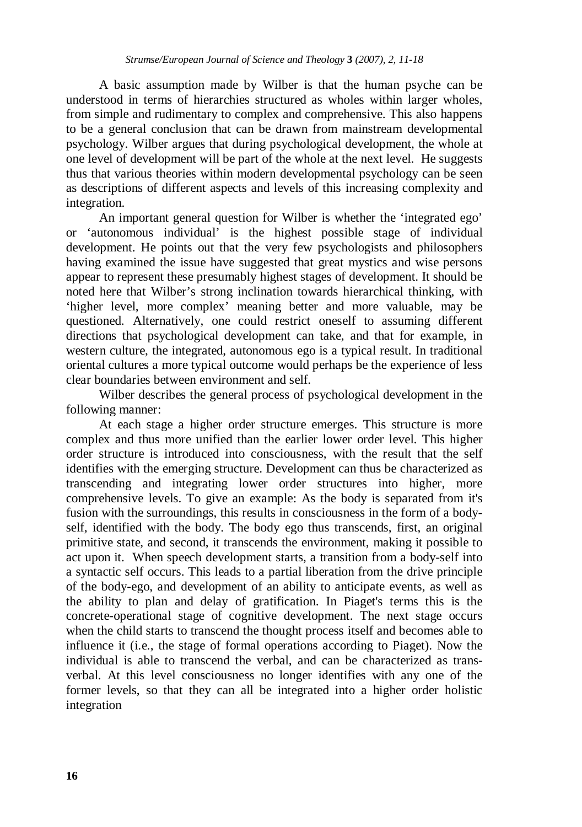A basic assumption made by Wilber is that the human psyche can be understood in terms of hierarchies structured as wholes within larger wholes, from simple and rudimentary to complex and comprehensive. This also happens to be a general conclusion that can be drawn from mainstream developmental psychology. Wilber argues that during psychological development, the whole at one level of development will be part of the whole at the next level. He suggests thus that various theories within modern developmental psychology can be seen as descriptions of different aspects and levels of this increasing complexity and integration.

An important general question for Wilber is whether the 'integrated ego' or 'autonomous individual' is the highest possible stage of individual development. He points out that the very few psychologists and philosophers having examined the issue have suggested that great mystics and wise persons appear to represent these presumably highest stages of development. It should be noted here that Wilber's strong inclination towards hierarchical thinking, with 'higher level, more complex' meaning better and more valuable, may be questioned. Alternatively, one could restrict oneself to assuming different directions that psychological development can take, and that for example, in western culture, the integrated, autonomous ego is a typical result. In traditional oriental cultures a more typical outcome would perhaps be the experience of less clear boundaries between environment and self.

Wilber describes the general process of psychological development in the following manner:

At each stage a higher order structure emerges. This structure is more complex and thus more unified than the earlier lower order level. This higher order structure is introduced into consciousness, with the result that the self identifies with the emerging structure. Development can thus be characterized as transcending and integrating lower order structures into higher, more comprehensive levels. To give an example: As the body is separated from it's fusion with the surroundings, this results in consciousness in the form of a bodyself, identified with the body. The body ego thus transcends, first, an original primitive state, and second, it transcends the environment, making it possible to act upon it. When speech development starts, a transition from a body-self into a syntactic self occurs. This leads to a partial liberation from the drive principle of the body-ego, and development of an ability to anticipate events, as well as the ability to plan and delay of gratification. In Piaget's terms this is the concrete-operational stage of cognitive development. The next stage occurs when the child starts to transcend the thought process itself and becomes able to influence it (i.e., the stage of formal operations according to Piaget). Now the individual is able to transcend the verbal, and can be characterized as transverbal. At this level consciousness no longer identifies with any one of the former levels, so that they can all be integrated into a higher order holistic integration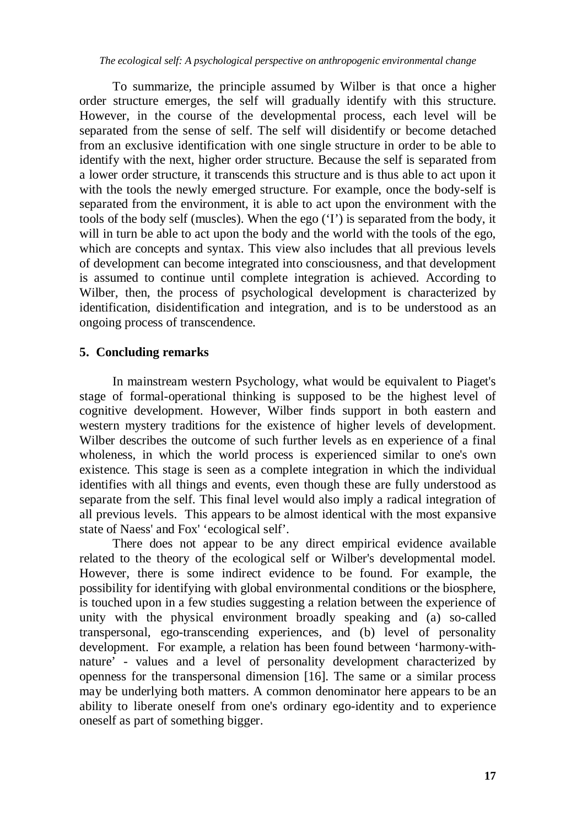*The ecological self: A psychological perspective on anthropogenic environmental change*

To summarize, the principle assumed by Wilber is that once a higher order structure emerges, the self will gradually identify with this structure. However, in the course of the developmental process, each level will be separated from the sense of self. The self will disidentify or become detached from an exclusive identification with one single structure in order to be able to identify with the next, higher order structure. Because the self is separated from a lower order structure, it transcends this structure and is thus able to act upon it with the tools the newly emerged structure. For example, once the body-self is separated from the environment, it is able to act upon the environment with the tools of the body self (muscles). When the ego ('I') is separated from the body, it will in turn be able to act upon the body and the world with the tools of the ego, which are concepts and syntax. This view also includes that all previous levels of development can become integrated into consciousness, and that development is assumed to continue until complete integration is achieved. According to Wilber, then, the process of psychological development is characterized by identification, disidentification and integration, and is to be understood as an ongoing process of transcendence.

### **5. Concluding remarks**

In mainstream western Psychology, what would be equivalent to Piaget's stage of formal-operational thinking is supposed to be the highest level of cognitive development. However, Wilber finds support in both eastern and western mystery traditions for the existence of higher levels of development. Wilber describes the outcome of such further levels as en experience of a final wholeness, in which the world process is experienced similar to one's own existence. This stage is seen as a complete integration in which the individual identifies with all things and events, even though these are fully understood as separate from the self. This final level would also imply a radical integration of all previous levels. This appears to be almost identical with the most expansive state of Naess' and Fox' 'ecological self'.

There does not appear to be any direct empirical evidence available related to the theory of the ecological self or Wilber's developmental model. However, there is some indirect evidence to be found. For example, the possibility for identifying with global environmental conditions or the biosphere, is touched upon in a few studies suggesting a relation between the experience of unity with the physical environment broadly speaking and (a) so-called transpersonal, ego-transcending experiences, and (b) level of personality development. For example, a relation has been found between 'harmony-withnature' - values and a level of personality development characterized by openness for the transpersonal dimension [16]. The same or a similar process may be underlying both matters. A common denominator here appears to be an ability to liberate oneself from one's ordinary ego-identity and to experience oneself as part of something bigger.